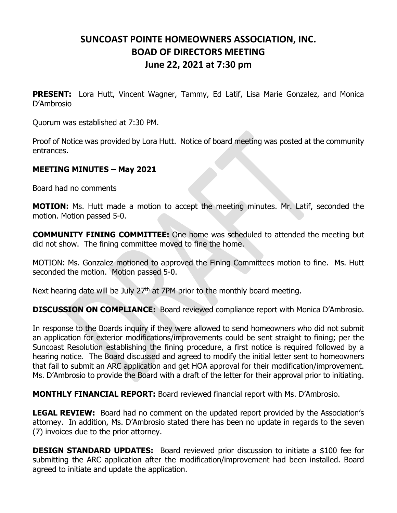## **SUNCOAST POINTE HOMEOWNERS ASSOCIATION, INC. BOAD OF DIRECTORS MEETING June 22, 2021 at 7:30 pm**

**PRESENT:** Lora Hutt, Vincent Wagner, Tammy, Ed Latif, Lisa Marie Gonzalez, and Monica D'Ambrosio

Quorum was established at 7:30 PM.

Proof of Notice was provided by Lora Hutt. Notice of board meeting was posted at the community entrances.

## **MEETING MINUTES – May 2021**

Board had no comments

**MOTION:** Ms. Hutt made a motion to accept the meeting minutes. Mr. Latif, seconded the motion. Motion passed 5-0.

**COMMUNITY FINING COMMITTEE:** One home was scheduled to attended the meeting but did not show. The fining committee moved to fine the home.

MOTION: Ms. Gonzalez motioned to approved the Fining Committees motion to fine. Ms. Hutt seconded the motion. Motion passed 5-0.

Next hearing date will be July  $27<sup>th</sup>$  at 7PM prior to the monthly board meeting.

**DISCUSSION ON COMPLIANCE:** Board reviewed compliance report with Monica D'Ambrosio.

In response to the Boards inquiry if they were allowed to send homeowners who did not submit an application for exterior modifications/improvements could be sent straight to fining; per the Suncoast Resolution establishing the fining procedure, a first notice is required followed by a hearing notice. The Board discussed and agreed to modify the initial letter sent to homeowners that fail to submit an ARC application and get HOA approval for their modification/improvement. Ms. D'Ambrosio to provide the Board with a draft of the letter for their approval prior to initiating.

**MONTHLY FINANCIAL REPORT:** Board reviewed financial report with Ms. D'Ambrosio.

**LEGAL REVIEW:** Board had no comment on the updated report provided by the Association's attorney. In addition, Ms. D'Ambrosio stated there has been no update in regards to the seven (7) invoices due to the prior attorney.

**DESIGN STANDARD UPDATES:** Board reviewed prior discussion to initiate a \$100 fee for submitting the ARC application after the modification/improvement had been installed. Board agreed to initiate and update the application.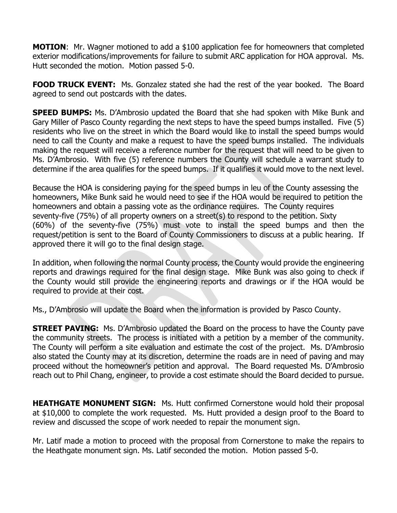**MOTION**: Mr. Wagner motioned to add a \$100 application fee for homeowners that completed exterior modifications/improvements for failure to submit ARC application for HOA approval. Ms. Hutt seconded the motion. Motion passed 5-0.

**FOOD TRUCK EVENT:** Ms. Gonzalez stated she had the rest of the year booked. The Board agreed to send out postcards with the dates.

**SPEED BUMPS:** Ms. D'Ambrosio updated the Board that she had spoken with Mike Bunk and Gary Miller of Pasco County regarding the next steps to have the speed bumps installed. Five (5) residents who live on the street in which the Board would like to install the speed bumps would need to call the County and make a request to have the speed bumps installed. The individuals making the request will receive a reference number for the request that will need to be given to Ms. D'Ambrosio. With five (5) reference numbers the County will schedule a warrant study to determine if the area qualifies for the speed bumps. If it qualifies it would move to the next level.

Because the HOA is considering paying for the speed bumps in leu of the County assessing the homeowners, Mike Bunk said he would need to see if the HOA would be required to petition the homeowners and obtain a passing vote as the ordinance requires. The County requires seventy-five (75%) of all property owners on a street(s) to respond to the petition. Sixty (60%) of the seventy-five (75%) must vote to install the speed bumps and then the request/petition is sent to the Board of County Commissioners to discuss at a public hearing. If approved there it will go to the final design stage.

In addition, when following the normal County process, the County would provide the engineering reports and drawings required for the final design stage. Mike Bunk was also going to check if the County would still provide the engineering reports and drawings or if the HOA would be required to provide at their cost.

Ms., D'Ambrosio will update the Board when the information is provided by Pasco County.

**STREET PAVING:** Ms. D'Ambrosio updated the Board on the process to have the County pave the community streets. The process is initiated with a petition by a member of the community. The County will perform a site evaluation and estimate the cost of the project. Ms. D'Ambrosio also stated the County may at its discretion, determine the roads are in need of paving and may proceed without the homeowner's petition and approval. The Board requested Ms. D'Ambrosio reach out to Phil Chang, engineer, to provide a cost estimate should the Board decided to pursue.

**HEATHGATE MONUMENT SIGN:** Ms. Hutt confirmed Cornerstone would hold their proposal at \$10,000 to complete the work requested. Ms. Hutt provided a design proof to the Board to review and discussed the scope of work needed to repair the monument sign.

Mr. Latif made a motion to proceed with the proposal from Cornerstone to make the repairs to the Heathgate monument sign. Ms. Latif seconded the motion. Motion passed 5-0.